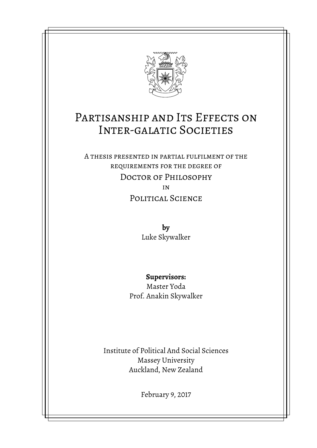

# PARTISANSHIP AND ITS EFFECTS ON Inter-galatic Societies

A thesis presented in partial fulfilment of the requirements for the degree of Doctor of Philosophy in

Political Science

**by** Luke Skywalker

**Supervisors:**

Master Yoda Prof. Anakin Skywalker

Institute of Political And Social Sciences Massey University Auckland, New Zealand

February 9, 2017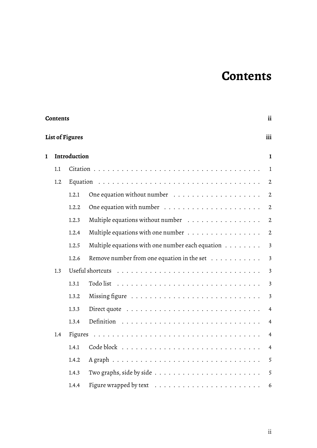# **Contents**

<span id="page-1-0"></span>

| <b>Contents</b> |                                                                                                                                                                                                                                                                                                                                                                                                                                                                                                                                       |       |                                                                             |                         |
|-----------------|---------------------------------------------------------------------------------------------------------------------------------------------------------------------------------------------------------------------------------------------------------------------------------------------------------------------------------------------------------------------------------------------------------------------------------------------------------------------------------------------------------------------------------------|-------|-----------------------------------------------------------------------------|-------------------------|
|                 | ii<br><b>List of Figures</b><br>iii<br>Introduction<br>1.1<br>1.2<br>1.2.1<br>One equation with number $\dots \dots \dots \dots \dots \dots \dots$<br>1.2.2<br>Multiple equations without number<br>1.2.3<br>Multiple equations with one number<br>1.2.4<br>Multiple equations with one number each equation $\dots \dots$<br>1.2.5<br>Remove number from one equation in the set $\dots \dots \dots$<br>1.2.6<br>1.3<br>Todo list $\ldots \ldots \ldots \ldots \ldots \ldots \ldots \ldots \ldots \ldots$<br>1.3.1<br>1.3.2<br>1.3.3 |       |                                                                             |                         |
| ı               |                                                                                                                                                                                                                                                                                                                                                                                                                                                                                                                                       |       |                                                                             | $\mathbf I$             |
|                 |                                                                                                                                                                                                                                                                                                                                                                                                                                                                                                                                       |       |                                                                             | $\mathbf{1}$            |
|                 |                                                                                                                                                                                                                                                                                                                                                                                                                                                                                                                                       |       |                                                                             | $\mathbf{2}$            |
|                 |                                                                                                                                                                                                                                                                                                                                                                                                                                                                                                                                       |       |                                                                             | $\boldsymbol{2}$        |
|                 |                                                                                                                                                                                                                                                                                                                                                                                                                                                                                                                                       |       |                                                                             | $\mathbf{2}$            |
|                 |                                                                                                                                                                                                                                                                                                                                                                                                                                                                                                                                       |       |                                                                             | $\mathfrak{2}$          |
|                 |                                                                                                                                                                                                                                                                                                                                                                                                                                                                                                                                       |       |                                                                             | $2\,$                   |
|                 |                                                                                                                                                                                                                                                                                                                                                                                                                                                                                                                                       |       |                                                                             | $\mathfrak{Z}$          |
|                 |                                                                                                                                                                                                                                                                                                                                                                                                                                                                                                                                       |       |                                                                             | $\overline{\mathbf{3}}$ |
|                 |                                                                                                                                                                                                                                                                                                                                                                                                                                                                                                                                       |       |                                                                             | $\overline{\mathbf{3}}$ |
|                 |                                                                                                                                                                                                                                                                                                                                                                                                                                                                                                                                       |       |                                                                             | $\overline{\mathbf{3}}$ |
|                 |                                                                                                                                                                                                                                                                                                                                                                                                                                                                                                                                       |       |                                                                             | $\overline{\mathbf{3}}$ |
|                 |                                                                                                                                                                                                                                                                                                                                                                                                                                                                                                                                       |       |                                                                             | $\overline{4}$          |
|                 |                                                                                                                                                                                                                                                                                                                                                                                                                                                                                                                                       | 1.3.4 |                                                                             | $\overline{4}$          |
|                 | 1.4                                                                                                                                                                                                                                                                                                                                                                                                                                                                                                                                   |       |                                                                             | $\overline{4}$          |
|                 |                                                                                                                                                                                                                                                                                                                                                                                                                                                                                                                                       | 1.4.1 |                                                                             | $\overline{4}$          |
|                 |                                                                                                                                                                                                                                                                                                                                                                                                                                                                                                                                       | 1.4.2 |                                                                             | 5                       |
|                 |                                                                                                                                                                                                                                                                                                                                                                                                                                                                                                                                       | 1.4.3 | Two graphs, side by side $\ldots \ldots \ldots \ldots \ldots \ldots \ldots$ | 5                       |
|                 |                                                                                                                                                                                                                                                                                                                                                                                                                                                                                                                                       | 1.4.4 |                                                                             | 6                       |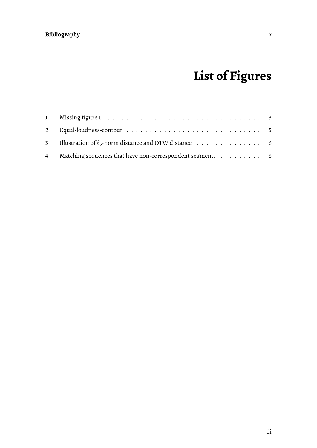# **[Bibliography](#page-9-0) 7**

# **List of Figures**

<span id="page-2-0"></span>

| 3 Illustration of $\ell_p$ -norm distance and DTW distance $\ldots \ldots \ldots \ldots$ |  |
|------------------------------------------------------------------------------------------|--|
| 4 Matching sequences that have non-correspondent segment. 6                              |  |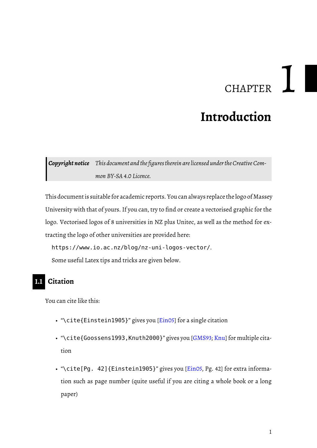# **CHAPTER**

# **Introduction**

<span id="page-3-3"></span><span id="page-3-0"></span>**Copyright notice** This document and the figures therein are licensed under the Creative Com*mon BY-SA 4.0 Licence.*

This document is suitable for academic reports. You can always replace the logo of Massey University with that of yours. If you can, try to find or create a vectorised graphic for the logo. Vectorised logos of 8 universities in NZ plus Unitec, as well as the method for extracting the logo of other universities are provided here:

https://www.io.ac.nz/blog/nz-uni-logos-vector/. Some useful Latex tips and tricks are given below.

# <span id="page-3-1"></span>**1.1 Citation**

You can cite like this:

- "\cite{Einstein1905}" gives you [\[Ein05\]](#page-9-0) for a single citation
- "\cite{Goossens1993,Knuth2000}" gives you [\[GMS93;](#page-9-1) [Knu\]](#page-9-2) for multiple citation
- <span id="page-3-2"></span>• "\cite[Pg. 42]{Einstein1905}" gives you [\[Ein05,](#page-9-0) Pg. 42] for extra information such as page number (quite useful if you are citing a whole book or a long paper)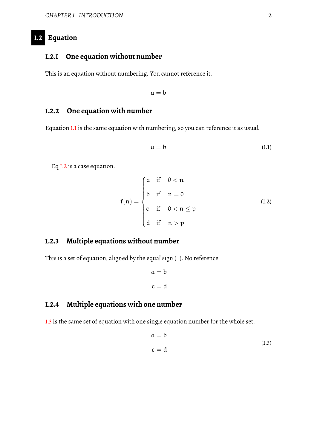# **1.2 Equation**

# <span id="page-4-0"></span>**1.2.1 One equation without number**

This is an equation without numbering. You cannot reference it.

<span id="page-4-5"></span> $a = b$ 

# <span id="page-4-1"></span>**1.2.2 One equation with number**

Equation [1.1](#page-4-5) is the same equation with numbering, so you can reference it as usual.

$$
a = b \tag{1.1}
$$

Eq [1.2](#page-4-6) is a case equation.

<span id="page-4-6"></span>
$$
f(n) = \begin{cases} \na & \text{if } 0 < n \\ \nb & \text{if } n = 0 \\ \nc & \text{if } 0 < n \le p \\ \nd & \text{if } n > p \end{cases} \tag{1.2}
$$

#### <span id="page-4-2"></span>**1.2.3 Multiple equations without number**

This is a set of equation, aligned by the equal sign (=). No reference

$$
a = b
$$

$$
c = d
$$

# <span id="page-4-3"></span>**1.2.4 Multiple equations with one number**

<span id="page-4-4"></span>[1.3](#page-4-7) is the same set of equation with one single equation number for the whole set.

<span id="page-4-7"></span>
$$
a = b
$$
  
\n
$$
c = d
$$
\n(1.3)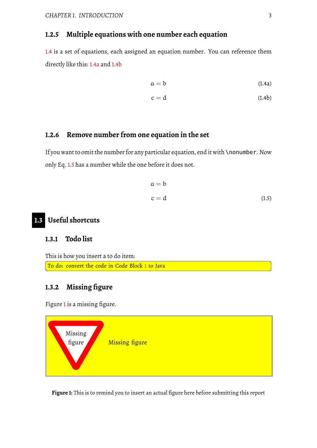# **1.2.5 Multiple equations with one number each equation**

[1.4](#page-4-6) is a set of equations, each assigned an equation number. You can reference them directly like this: [1.4a](#page-4-5) and [1.4b](#page-4-6)

$$
a = b \tag{1.4a}
$$

$$
c = d \tag{1.4b}
$$

## <span id="page-5-0"></span>**1.2.6 Remove number from one equation in the set**

If you want to omit the number for any particular equation, end it with \nonumber. Now only Eq. [1.5](#page-5-6) has a number while the one before it does not.

<span id="page-5-6"></span>
$$
a = b
$$
  

$$
c = d
$$
 (1.5)

# <span id="page-5-1"></span>**1.3 Useful shortcuts**

### <span id="page-5-2"></span>**1.3.1 Todo list**

This is how you insert a to do item: To do: convert the code in Code Block [1](#page-6-4) to Java

# <span id="page-5-3"></span>**1.3.2 Missing figure**

Figure [1](#page-5-5) is a missing figure.

<span id="page-5-5"></span>

<span id="page-5-4"></span>**Figure 1:** This is to remind you to insert an actual figure here before submitting this report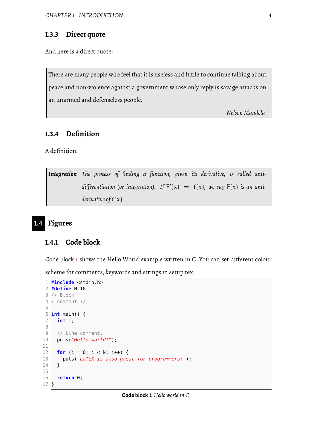#### **1.3.3 Direct quote**

And here is a direct quote:

There are many people who feel that it is useless and futile to continue talking about peace and non-violence against a government whose only reply is savage attacks on an unarmed and defenseless people.

*Nelson Mandela*

# <span id="page-6-0"></span>**1.3.4 Definition**

A definition:

*Integration The process of finding a function, given its derivative, is called anti*differentiation (or integration). If  $F'(x) = f(x)$ , we say  $F(x)$  is an anti*derivative of* f(x)*.*

# <span id="page-6-1"></span>**1.4 Figures**

# <span id="page-6-2"></span>**1.4.1 Code block**

Code block [1](#page-6-4) shows the Hello World example written in C. You can set different colour

scheme for comments, keywords and strings in setup.tex.

```
1 #include <stdio.h>
 2 #define N 10
 3 /* Block
4 * comment */
 5
 6 int main() {
7 int i;
8
9 // Line comment.
10 puts("Hello world!");
11
12 for (i = 0; i < N; i++) {
13 puts("LaTeX is also great for programmers!");
14 }
15
16 return 0;
17 }
```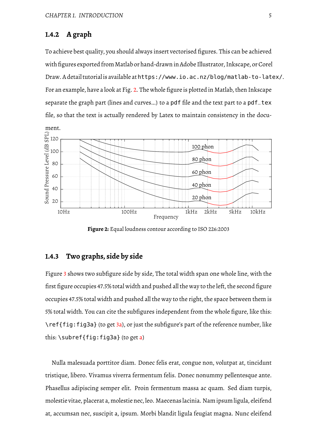## **1.4.2 A graph**

To achieve best quality, you should always insert vectorised figures. This can be achieved with figures exported from Matlab or hand-drawn in Adobe Illustrator, Inkscape, or Corel Draw. A detail tutorialis available athttps://www.io.ac.nz/blog/matlab-to-latex/. For an example, have a look at Fig. [2.](#page-7-1) The whole figure is plotted in Matlab, then Inkscape separate the graph part (lines and curves...) to a pdf file and the text part to a pdf\_tex file, so that the text is actually rendered by Latex to maintain consistency in the docu-

<span id="page-7-1"></span>

**Figure 2:** Equal loudness contour according to ISO 226:2003

# <span id="page-7-0"></span>**1.4.3 Two graphs, side by side**

Figure [3](#page-8-1) shows two subfigure side by side, The total width span one whole line, with the first figure occupies 47.5% total width and pushed all the way to the left, the second figure occupies 47.5% total width and pushed all the way to the right, the space between them is 5% total width. You can cite the subfigures independent from the whole figure, like this: \ref{fig:fig3a} (to get [3a\)](#page-8-1), or just the subfigure's part of the reference number, like this:  $\sub{supref{fig:fig3a}}$  (to get [a\)](#page-8-1)

Nulla malesuada porttitor diam. Donec felis erat, congue non, volutpat at, tincidunt tristique, libero. Vivamus viverra fermentum felis. Donec nonummy pellentesque ante. Phasellus adipiscing semper elit. Proin fermentum massa ac quam. Sed diam turpis, molestie vitae, placerat a, molestie nec, leo. Maecenas lacinia. Namipsum ligula, eleifend at, accumsan nec, suscipit a, ipsum. Morbi blandit ligula feugiat magna. Nunc eleifend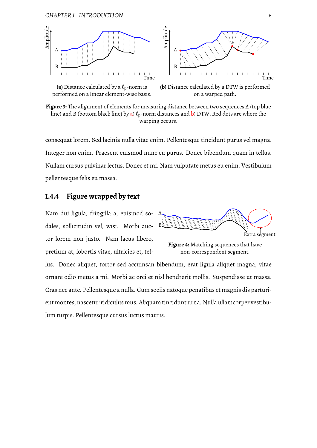#### *CHAPTER 1. INTRODUCTION* 6

<span id="page-8-1"></span>



**(a)** Distance calculated by a  $\ell_p$ -norm is performed on a linear element-wise basis.

**(b)** Distance calculated by a DTW is performed on a warped path.

**Figure 3:** The alignment of elements for measuring distance between two sequences A (top blue line) and B (bottom black line) by [a\)](#page-8-1)  $\ell_p$ -norm distances and [b\)](#page-8-1) DTW. Red dots are where the warping occurs.

consequat lorem. Sed lacinia nulla vitae enim. Pellentesque tincidunt purus vel magna. Integer non enim. Praesent euismod nunc eu purus. Donec bibendum quam in tellus. Nullam cursus pulvinar lectus. Donec et mi. Nam vulputate metus eu enim. Vestibulum pellentesque felis eu massa.

#### <span id="page-8-0"></span>**1.4.4 Figure wrapped by text**

Nam dui ligula, fringilla a, euismod sodales, sollicitudin vel, wisi. Morbi auctor lorem non justo. Nam lacus libero, pretium at, lobortis vitae, ultricies et, tel-

<span id="page-8-2"></span>

**Figure 4:** Matching sequences that have non-correspondent segment.

lus. Donec aliquet, tortor sed accumsan bibendum, erat ligula aliquet magna, vitae ornare odio metus a mi. Morbi ac orci et nisl hendrerit mollis. Suspendisse ut massa. Cras nec ante. Pellentesque a nulla. Cum sociis natoque penatibus et magnis dis parturient montes, nascetur ridiculus mus. Aliquam tincidunt urna. Nulla ullamcorper vestibulum turpis. Pellentesque cursus luctus mauris.